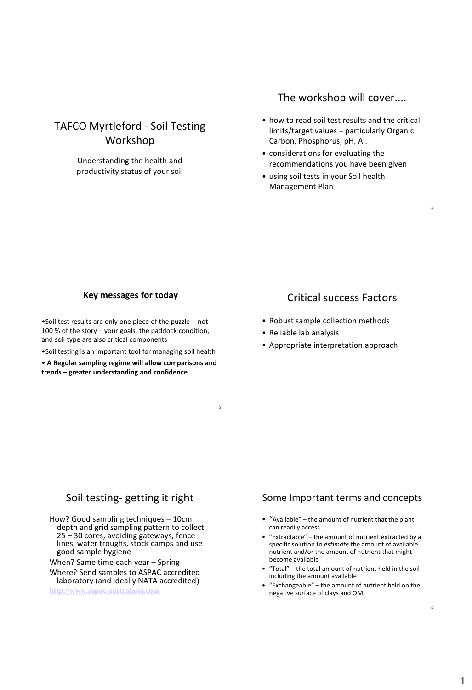# TAFCO Myrtleford - Soil Testing Workshop

Understanding the health and productivity status of your soil

## The workshop will cover....

• how to read soil test results and the critical limits/target values – particularly Organic Carbon, Phosphorus, pH, Al.

 $\overline{2}$ 

- considerations for evaluating the recommendations you have been given
- using soil tests in your Soil health Management Plan

#### **Key messages for today**

•Soil test results are only one piece of the puzzle - not 100 % of the story – your goals, the paddock condition, and soil type are also critical components

•Soil testing is an important tool for managing soil health

• **A Regular sampling regime will allow comparisons and trends – greater understanding and confidence**

# Critical success Factors

- Robust sample collection methods
- Reliable lab analysis

3

• Appropriate interpretation approach

## Soil testing- getting it right

How? Good sampling techniques – 10cm depth and grid sampling pattern to collect 25 – 30 cores, avoiding gateways, fence lines, water troughs, stock camps and use good sample hygiene

When? Same time each year – Spring

Where? Send samples to ASPAC accredited laboratory (and ideally NATA accredited) **[http://www.aspac-australasia.com](http://www.aspac-australasia.com/)**

### Some Important terms and concepts

- "Available" the amount of nutrient that the plant can readily access
- "Extractable" the amount of nutrient extracted by a specific solution to *estimate* the amount of available nutrient and/or the amount of nutrient that might become available
- "Total" the total amount of nutrient held in the soil including the amount available
- "Exchangeable" the amount of nutrient held on the negative surface of clays and OM

6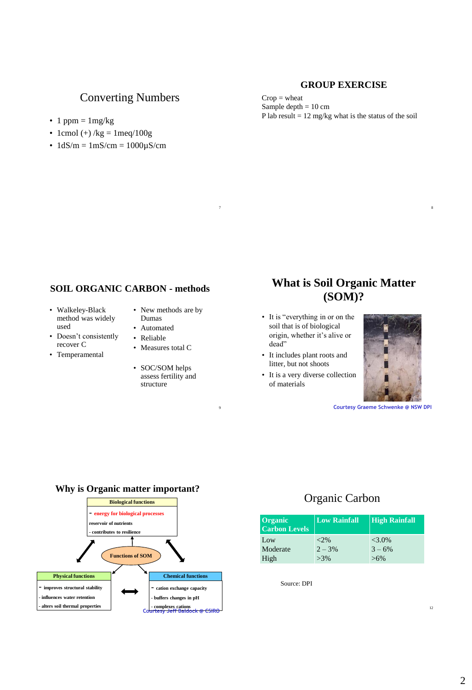### **GROUP EXERCISE**

## Converting Numbers

- 1 ppm =  $1 \text{mg/kg}$
- 1cmol (+) /kg =  $1 \text{meq}/100 \text{g}$
- $1dS/m = 1mS/cm = 1000\mu S/cm$

#### $Crop = *wh*eat$ Sample depth  $= 10$  cm P lab result  $= 12$  mg/kg what is the status of the soil

 $7$ 

### **SOIL ORGANIC CARBON - methods**

- Walkeley-Black method was widely used
- Doesn't consistently recover C
- Temperamental
- New methods are by Dumas
- Automated
- Reliable
- Measures total C
- SOC/SOM helps assess fertility and structure

9

# **What is Soil Organic Matter (SOM)?**

- It is "everything in or on the soil that is of biological origin, whether it's alive or dead"
- It includes plant roots and litter, but not shoots
- It is a very diverse collection of materials



**Courtesy Graeme Schwenke @ NSW DPI**

#### **Why is Organic matter important?**



# Organic Carbon

| Organic<br><b>Carbon Levels</b> | <b>Low Rainfall</b> | <b>High Rainfall</b> |
|---------------------------------|---------------------|----------------------|
| Low                             | ${<}2\%$            | $<3.0\%$             |
| Moderate                        | $2 - 3%$            | $3 - 6\%$            |
| High                            | $>3\%$              | $>6\%$               |

Source: DPI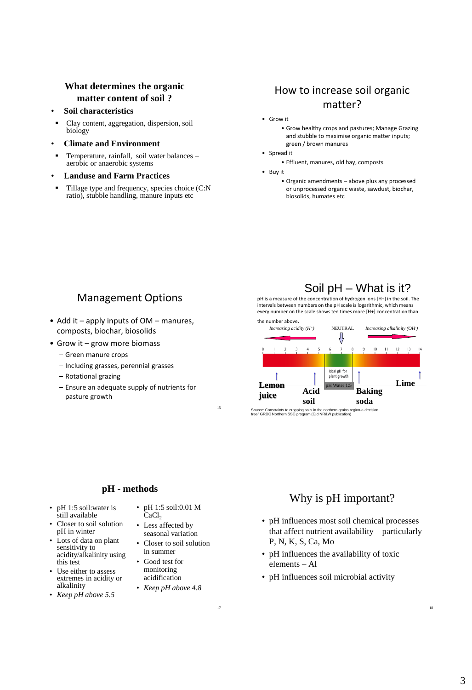### **What determines the organic matter content of soil ?**

- **Soil characteristics**
- Clay content, aggregation, dispersion, soil biology
- **Climate and Environment**
- Temperature, rainfall, soil water balances aerobic or anaerobic systems
- **Landuse and Farm Practices**
- Tillage type and frequency, species choice (C:N ratio), stubble handling, manure inputs etc

# How to increase soil organic matter?

- Grow it
	- Grow healthy crops and pastures; Manage Grazing and stubble to maximise organic matter inputs; green / brown manures
- Spread it
	- Effluent, manures, old hay, composts
- Buy it
	- Organic amendments above plus any processed or unprocessed organic waste, sawdust, biochar, biosolids, humates etc

## Management Options

- Add it apply inputs of OM manures, composts, biochar, biosolids
- Grow it grow more biomass
	- Green manure crops
	- Including grasses, perennial grasses
	- Rotational grazing
	- Ensure an adequate supply of nutrients for pasture growth

# Soil pH – What is it?

pH is a measure of the concentration of hydrogen ions [H+] in the soil. The intervals between numbers on the pH scale is logarithmic, which means every number on the scale shows ten times more [H+] concentration than



<sup>15</sup> Source: Constraints to cropping soils in the northern grains region-a decision tree" GRDC Northern SSC program (Qld NR&W publication)

### **pH - methods**

- pH 1:5 soil:water is still available
- Closer to soil solution pH in winter
- Lots of data on plant sensitivity to acidity/alkalinity using this test
- Use either to assess extremes in acidity or alkalinity
- *Keep pH above 5.5*
- pH 1:5 soil:0.01 M CaCl<sub>2</sub>
- Less affected by seasonal variation
- Closer to soil solution in summer
- Good test for monitoring acidification
- *Keep pH above 4.8*

17

# Why is pH important?

- pH influences most soil chemical processes that affect nutrient availability – particularly P, N, K, S, Ca, Mo
- pH influences the availability of toxic elements – Al
- pH influences soil microbial activity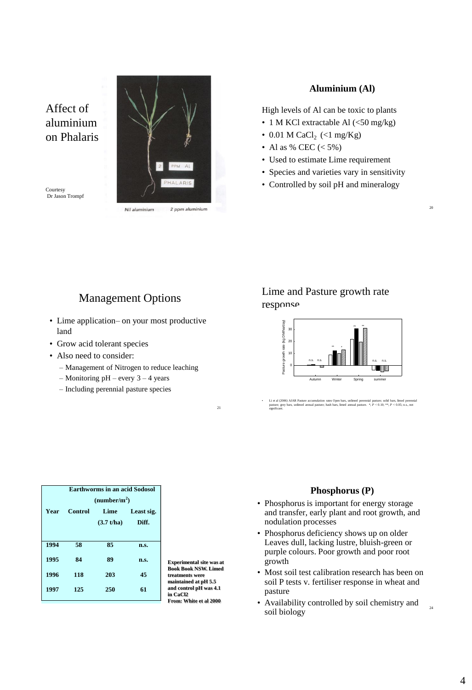Affect of aluminium on Phalaris

Courtesy Dr Jason Trompf



Nil aluminium 2 ppm aluminium

### **Aluminium (Al)**

High levels of Al can be toxic to plants

- 1 M KCl extractable Al (<50 mg/kg)
- 0.01 M CaCl<sub>2</sub> (<1 mg/Kg)
- Al as % CEC  $(< 5\%)$
- Used to estimate Lime requirement

 $2<sup>0</sup>$ 

- Species and varieties vary in sensitivity
- Controlled by soil pH and mineralogy

## Management Options

- Lime application– on your most productive land
- Grow acid tolerant species
- Also need to consider:
	- Management of Nitrogen to reduce leaching
	- Monitoring pH every 3 4 years
	- Including perennial pasture species

## Lime and Pasture growth rate response

![](_page_3_Figure_20.jpeg)

• Li et al (2006) AJAR Pasture accumulation rates Open bars, unlimed perennial pasture; solid bars, limed perennial pasture; grey bars, unlimed annual pasture; hash bars, limed annual pasture: \*,  $P < 0.10$ ; \*\*,  $P < 0.05$ ; significant.

|              | <b>Earthworms in an acid Sodosol</b><br>(number/m <sup>2</sup> ) |                    |                     |
|--------------|------------------------------------------------------------------|--------------------|---------------------|
| <b>Year</b>  | <b>Control</b>                                                   | Lime<br>(3.7 t/ha) | Least sig.<br>Diff. |
| 1994         | 58                                                               | 85                 | n.s.                |
| 1995<br>1996 | 84<br>118                                                        | 89<br>203          | n.s.<br>45          |
| 1997         | 125                                                              | 250                | 61                  |

**Experimental site was at Book Book NSW. Limed treatments were maintained at pH 5.5 and control pH was 4.1 in CaCl2 From: White et al 2000**

21

#### **Phosphorus (P)**

- Phosphorus is important for energy storage and transfer, early plant and root growth, and nodulation processes
- Phosphorus deficiency shows up on older Leaves dull, lacking lustre, bluish-green or purple colours. Poor growth and poor root growth
- Most soil test calibration research has been on soil P tests v. fertiliser response in wheat and pasture
- Availability controlled by soil chemistry and soil biology

24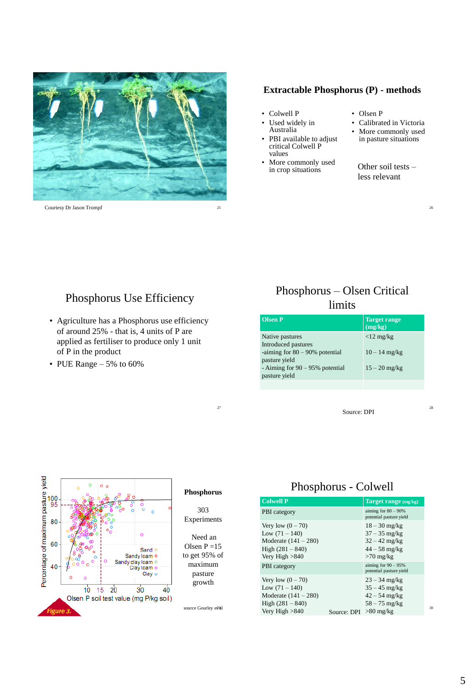![](_page_4_Picture_0.jpeg)

#### **Extractable Phosphorus (P) - methods**

- Colwell P<br>• Used wide
	- Used widely in Australia
- PBI available to adjust critical Colwell P values
- More commonly used in crop situations
- Olsen P
- Calibrated in Victoria
- More commonly used in pasture situations

Other soil tests – less relevant

## Phosphorus Use Efficiency

- Agriculture has a Phosphorus use efficiency of around 25% - that is, 4 units of P are applied as fertiliser to produce only 1 unit of P in the product
- PUE Range 5% to 60%

# Phosphorus – Olsen Critical limits

| <b>Olsen P</b>                                                                                                                                   | <b>Target range</b><br>$\overline{\text{(mg/kg)}}$ |
|--------------------------------------------------------------------------------------------------------------------------------------------------|----------------------------------------------------|
| Native pastures<br>Introduced pastures<br>-aiming for $80 - 90\%$ potential<br>pasture yield<br>- Aiming for 90 – 95% potential<br>pasture yield | $<$ 12 mg/kg<br>$10 - 14$ mg/kg<br>$15 - 20$ mg/kg |
|                                                                                                                                                  |                                                    |

Source: DPI

28

![](_page_4_Figure_18.jpeg)

#### **Phosphorus**

27

303 Experiments

Need an Olsen  $P = 15$ to get 95% of maximum pasture growth

source Gourley et al

# Phosphorus - Colwell

| <b>Colwell P</b>                                                                                            |             | Target range (mg/kg)                                                                    |    |
|-------------------------------------------------------------------------------------------------------------|-------------|-----------------------------------------------------------------------------------------|----|
| <b>PBI</b> category                                                                                         |             | aiming for $80 - 90\%$<br>potential pasture yield                                       |    |
| Very low $(0 - 70)$<br>Low $(71 - 140)$<br>Moderate $(141 - 280)$<br>High $(281 - 840)$<br>Very High $>840$ |             | $18 - 30$ mg/kg<br>$37 - 35$ mg/kg<br>$32 - 42$ mg/kg<br>$44 - 58$ mg/kg<br>$>70$ mg/kg |    |
| <b>PBI</b> category                                                                                         |             | aiming for $90 - 95%$<br>potential pasture yield                                        |    |
| Very low $(0 - 70)$<br>Low $(71 - 140)$<br>Moderate $(141 - 280)$<br>High $(281 - 840)$                     |             | $23 - 34$ mg/kg<br>$35 - 45$ mg/kg<br>$42 - 54$ mg/kg<br>$58 - 75$ mg/kg                |    |
| Very High $>840$                                                                                            | Source: DPI | $>80$ mg/kg                                                                             | 3( |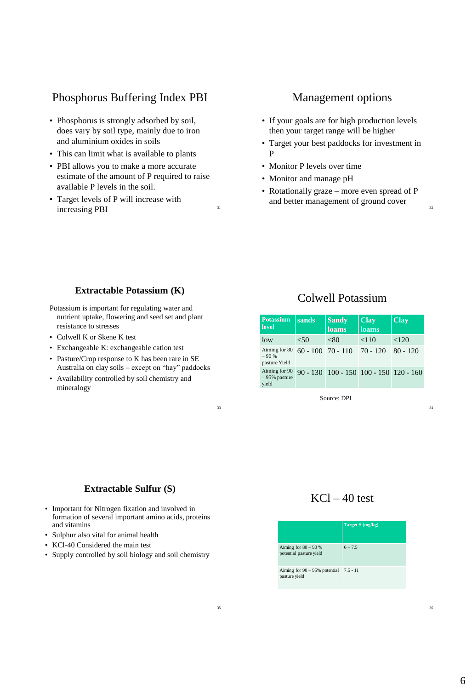# Phosphorus Buffering Index PBI

- Phosphorus is strongly adsorbed by soil, does vary by soil type, mainly due to iron and aluminium oxides in soils
- This can limit what is available to plants
- PBI allows you to make a more accurate estimate of the amount of P required to raise available P levels in the soil.
- Target levels of P will increase with increasing PBI 31

### Management options

- If your goals are for high production levels then your target range will be higher
- Target your best paddocks for investment in P
- Monitor P levels over time
- Monitor and manage pH
- Rotationally graze more even spread of P and better management of ground cover

#### **Extractable Potassium (K)**

Potassium is important for regulating water and nutrient uptake, flowering and seed set and plant resistance to stresses

- Colwell K or Skene K test
- Exchangeable K: exchangeable cation test
- Pasture/Crop response to K has been rare in SE Australia on clay soils – except on "hay" paddocks
- Availability controlled by soil chemistry and mineralogy

## Colwell Potassium

| <b>Potassium</b><br>level                | sands | <b>Sandy</b><br><b>loams</b>                   | <b>Clay</b><br><b>loams</b> | <b>Clay</b> |
|------------------------------------------|-------|------------------------------------------------|-----------------------------|-------------|
| low                                      | < 50  | < 80                                           | < 110                       | ${<}120$    |
| Aiming for 80<br>$-90%$<br>pasture Yield |       | $60 - 100$ 70 - 110 70 - 120                   |                             | $80 - 120$  |
| Aiming for 90<br>$-95%$ pasture<br>vield |       | $90 - 130$ $100 - 150$ $100 - 150$ $120 - 160$ |                             |             |

Source: DPI

34

32

### **Extractable Sulfur (S)**

- Important for Nitrogen fixation and involved in formation of several important amino acids, proteins and vitamins
- Sulphur also vital for animal health
- KCl-40 Considered the main test
- Supply controlled by soil biology and soil chemistry

# $KCl - 40$  test

|                                                              | Target S (mg/kg) |
|--------------------------------------------------------------|------------------|
| Aiming for $80 - 90%$<br>potential pasture yield             | $6 - 7.5$        |
| Aiming for $90 - 95\%$ potential $7.5 - 11$<br>pasture yield |                  |

33